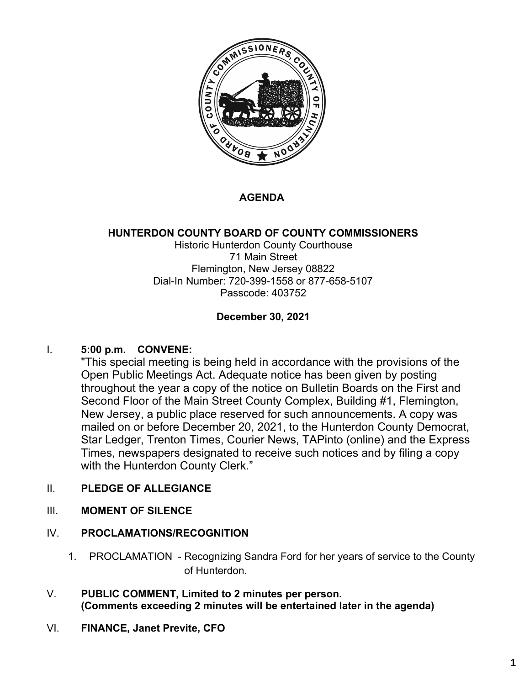

## **AGENDA**

## **HUNTERDON COUNTY BOARD OF COUNTY COMMISSIONERS**

Historic Hunterdon County Courthouse 71 Main Street Flemington, New Jersey 08822 Dial-In Number: 720-399-1558 or 877-658-5107 Passcode: 403752

### **December 30, 2021**

### I. **5:00 p.m. CONVENE:**

"This special meeting is being held in accordance with the provisions of the Open Public Meetings Act. Adequate notice has been given by posting throughout the year a copy of the notice on Bulletin Boards on the First and Second Floor of the Main Street County Complex, Building #1, Flemington, New Jersey, a public place reserved for such announcements. A copy was mailed on or before December 20, 2021, to the Hunterdon County Democrat, Star Ledger, Trenton Times, Courier News, TAPinto (online) and the Express Times, newspapers designated to receive such notices and by filing a copy with the Hunterdon County Clerk."

## II. **PLEDGE OF ALLEGIANCE**

III. **MOMENT OF SILENCE**

### IV. **PROCLAMATIONS/RECOGNITION**

- 1. PROCLAMATION Recognizing Sandra Ford for her years of service to the County of Hunterdon.
- V. **PUBLIC COMMENT, Limited to 2 minutes per person. (Comments exceeding 2 minutes will be entertained later in the agenda)**
- VI. **FINANCE, Janet Previte, CFO**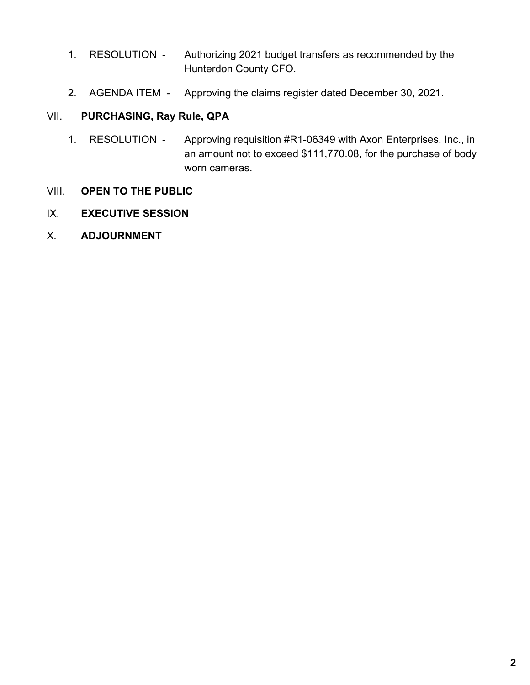- 1. RESOLUTION Authorizing 2021 budget transfers as recommended by the Hunterdon County CFO.
- 2. AGENDA ITEM Approving the claims register dated December 30, 2021.

### VII. **PURCHASING, Ray Rule, QPA**

- 1. RESOLUTION Approving requisition #R1-06349 with Axon Enterprises, Inc., in an amount not to exceed \$111,770.08, for the purchase of body worn cameras.
- VIII. **OPEN TO THE PUBLIC**
- IX. **EXECUTIVE SESSION**
- X. **ADJOURNMENT**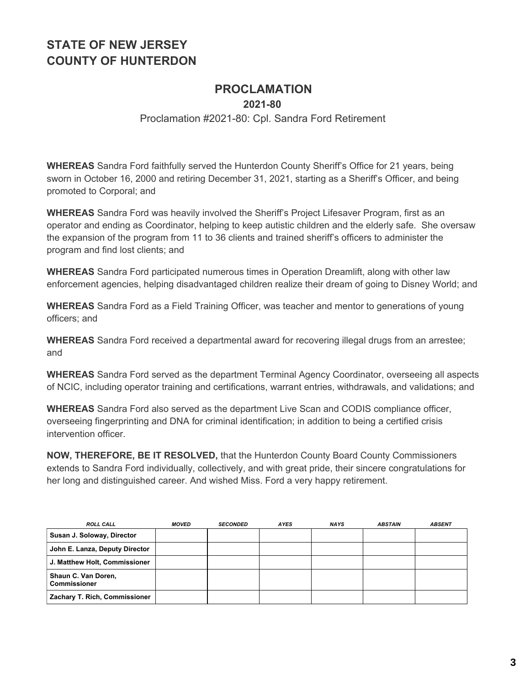## **PROCLAMATION**

**2021-80**

#### Proclamation #2021-80: Cpl. Sandra Ford Retirement

**WHEREAS** Sandra Ford faithfully served the Hunterdon County Sheriff's Office for 21 years, being sworn in October 16, 2000 and retiring December 31, 2021, starting as a Sheriff's Officer, and being promoted to Corporal; and

**WHEREAS** Sandra Ford was heavily involved the Sheriff's Project Lifesaver Program, first as an operator and ending as Coordinator, helping to keep autistic children and the elderly safe. She oversaw the expansion of the program from 11 to 36 clients and trained sheriff's officers to administer the program and find lost clients; and

**WHEREAS** Sandra Ford participated numerous times in Operation Dreamlift, along with other law enforcement agencies, helping disadvantaged children realize their dream of going to Disney World; and

**WHEREAS** Sandra Ford as a Field Training Officer, was teacher and mentor to generations of young officers; and

**WHEREAS** Sandra Ford received a departmental award for recovering illegal drugs from an arrestee; and

**WHEREAS** Sandra Ford served as the department Terminal Agency Coordinator, overseeing all aspects of NCIC, including operator training and certifications, warrant entries, withdrawals, and validations; and

**WHEREAS** Sandra Ford also served as the department Live Scan and CODIS compliance officer, overseeing fingerprinting and DNA for criminal identification; in addition to being a certified crisis intervention officer.

**NOW, THEREFORE, BE IT RESOLVED,** that the Hunterdon County Board County Commissioners extends to Sandra Ford individually, collectively, and with great pride, their sincere congratulations for her long and distinguished career. And wished Miss. Ford a very happy retirement.

| <b>ROLL CALL</b>                           | <b>MOVED</b> | <b>SECONDED</b> | <b>AYES</b> | <b>NAYS</b> | <b>ABSTAIN</b> | <b>ABSENT</b> |
|--------------------------------------------|--------------|-----------------|-------------|-------------|----------------|---------------|
| Susan J. Soloway, Director                 |              |                 |             |             |                |               |
| John E. Lanza, Deputy Director             |              |                 |             |             |                |               |
| J. Matthew Holt, Commissioner              |              |                 |             |             |                |               |
| Shaun C. Van Doren,<br><b>Commissioner</b> |              |                 |             |             |                |               |
| Zachary T. Rich, Commissioner              |              |                 |             |             |                |               |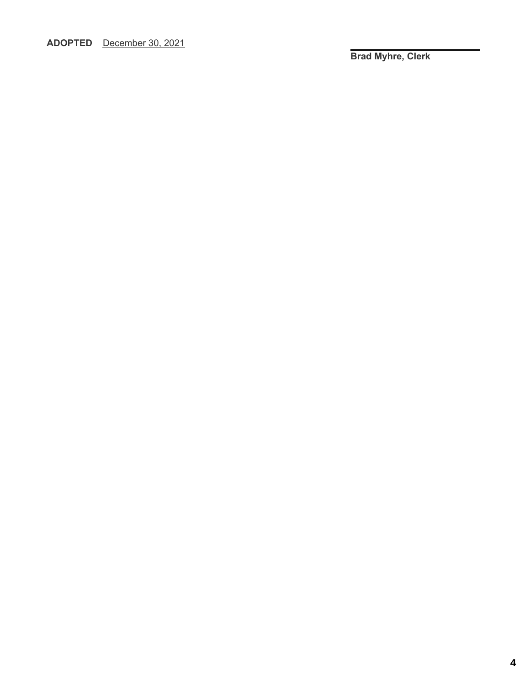**ADOPTED** December 30, 2021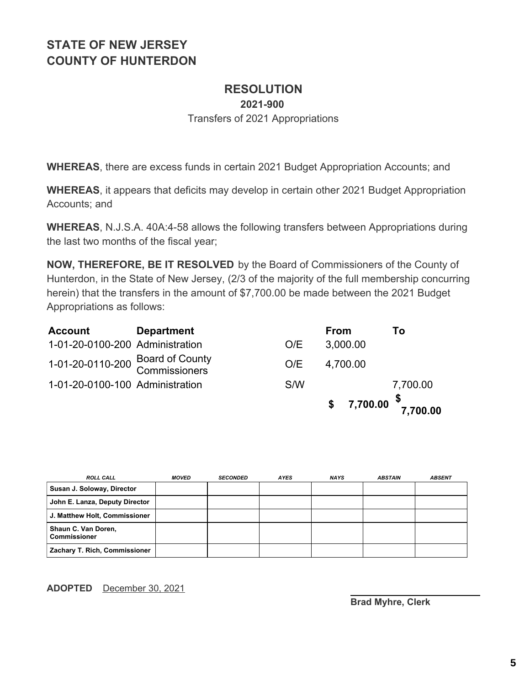# **RESOLUTION**

**2021-900**

Transfers of 2021 Appropriations

**WHEREAS**, there are excess funds in certain 2021 Budget Appropriation Accounts; and

**WHEREAS**, it appears that deficits may develop in certain other 2021 Budget Appropriation Accounts; and

**WHEREAS**, N.J.S.A. 40A:4-58 allows the following transfers between Appropriations during the last two months of the fiscal year;

**NOW, THEREFORE, BE IT RESOLVED** by the Board of Commissioners of the County of Hunterdon, in the State of New Jersey, (2/3 of the majority of the full membership concurring herein) that the transfers in the amount of \$7,700.00 be made between the 2021 Budget Appropriations as follows:

| <b>Account</b>                                    | <b>Department</b> |     | <b>From</b>                                                                                       | Τo       |
|---------------------------------------------------|-------------------|-----|---------------------------------------------------------------------------------------------------|----------|
| 1-01-20-0100-200 Administration                   |                   | O/E | 3,000.00                                                                                          |          |
| 1-01-20-0110-200 Board of County<br>Commissioners |                   | O/E | 4,700.00                                                                                          |          |
| 1-01-20-0100-100 Administration                   |                   | S/W |                                                                                                   | 7,700.00 |
|                                                   |                   |     | $$7,700.00 \space \n \begin{array}{cc} \text{$\$} \\ \text{$7,700.00} \end{array} \n \end{array}$ |          |

| <b>ROLL CALL</b>                           | <b>MOVED</b> | <b>SECONDED</b> | <b>AYES</b> | <b>NAYS</b> | <b>ABSTAIN</b> | <b>ABSENT</b> |
|--------------------------------------------|--------------|-----------------|-------------|-------------|----------------|---------------|
| Susan J. Soloway, Director                 |              |                 |             |             |                |               |
| John E. Lanza, Deputy Director             |              |                 |             |             |                |               |
| J. Matthew Holt, Commissioner              |              |                 |             |             |                |               |
| Shaun C. Van Doren,<br><b>Commissioner</b> |              |                 |             |             |                |               |
| Zachary T. Rich, Commissioner              |              |                 |             |             |                |               |

**ADOPTED** December 30, 2021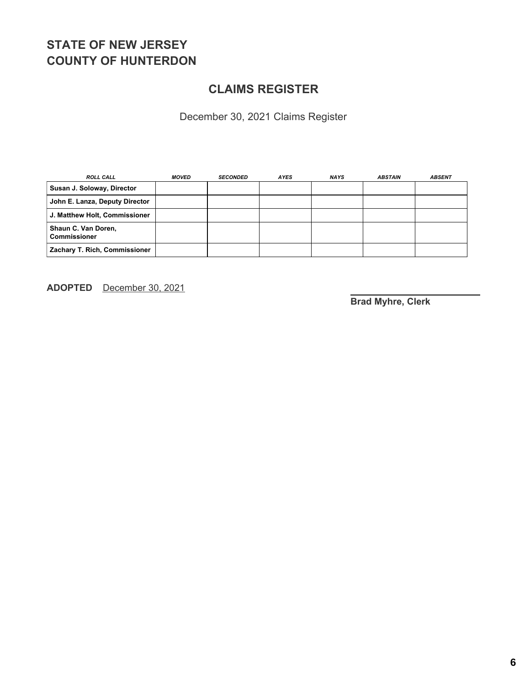## **CLAIMS REGISTER**

December 30, 2021 Claims Register

| <b>ROLL CALL</b>                      | <b>MOVED</b> | <b>SECONDED</b> | <b>AYES</b> | <b>NAYS</b> | <b>ABSTAIN</b> | <b>ABSENT</b> |
|---------------------------------------|--------------|-----------------|-------------|-------------|----------------|---------------|
| Susan J. Soloway, Director            |              |                 |             |             |                |               |
| John E. Lanza, Deputy Director        |              |                 |             |             |                |               |
| J. Matthew Holt, Commissioner         |              |                 |             |             |                |               |
| Shaun C. Van Doren,<br>l Commissioner |              |                 |             |             |                |               |
| Zachary T. Rich, Commissioner         |              |                 |             |             |                |               |

**ADOPTED** December 30, 2021